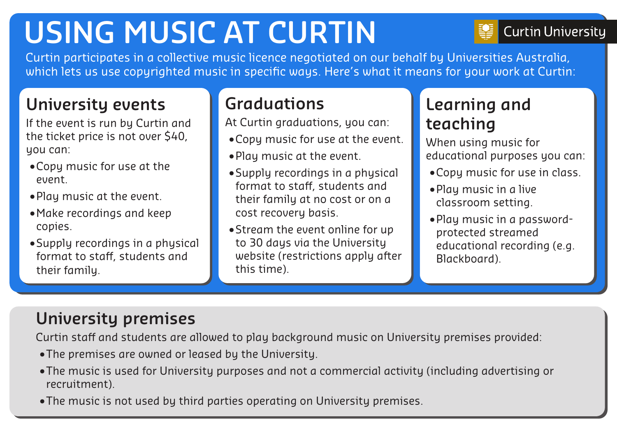# **USING MUSIC AT CURTIN**

**Curtin University** 

Curtin participates in a collective music licence negotiated on our behalf by Universities Australia, which lets us use copyrighted music in specific ways. Here's what it means for your work at Curtin:

#### **University events**

If the event is run by Curtin and the ticket price is not over \$40, you can:

- •Copy music for use at the event.
- •Play music at the event.
- •Make recordings and keep copies.
- •Supply recordings in a physical format to staff, students and their family.

#### **Graduations**

At Curtin graduations, you can:

- •Copy music for use at the event.
- •Play music at the event.
- •Supply recordings in a physical format to staff, students and their family at no cost or on a cost recovery basis.
- •Stream the event online for up to 30 days via the University website (restrictions apply after this time).

# **Learning and teaching**

When using music for educational purposes you can:

- •Copy music for use in class.
- •Play music in a live classroom setting.
- •Play music in a passwordprotected streamed educational recording (e.g. Blackboard).

## **University premises**

Curtin staff and students are allowed to play background music on University premises provided:

- •The premises are owned or leased by the University.
- •The music is used for University purposes and not a commercial activity (including advertising or recruitment).
- •The music is not used by third parties operating on University premises.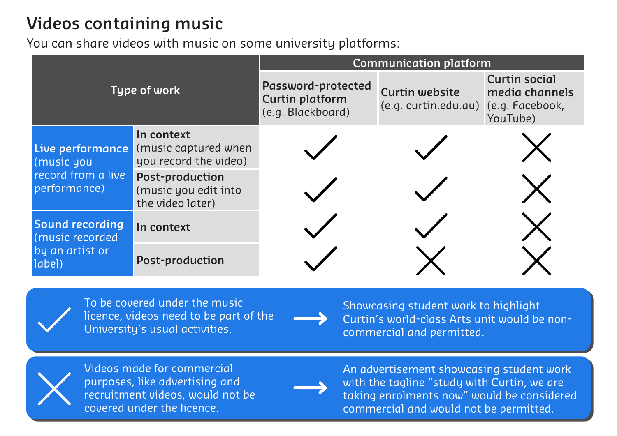## **Videos containing music**

You can share videos with music on some university platforms:

| Type of work                                                         |                                                                    | <b>Communication platform</b>                                     |                                                               |                                                    |
|----------------------------------------------------------------------|--------------------------------------------------------------------|-------------------------------------------------------------------|---------------------------------------------------------------|----------------------------------------------------|
|                                                                      |                                                                    | Password-protected<br><b>Curtin platform</b><br>(e.g. Blackboard) | <b>Curtin website</b><br>(e.g. curtin.edu.au) (e.g. Facebook, | <b>Curtin social</b><br>media channels<br>YouTube) |
| Live performance<br>(music you<br>record from a live<br>performance) | In context<br>(music captured when<br>you record the video)        |                                                                   |                                                               |                                                    |
|                                                                      | <b>Post-production</b><br>(music you edit into<br>the video later) |                                                                   |                                                               |                                                    |
| Sound recording<br>(music recorded<br>by an artist or<br>label)      | In context                                                         |                                                                   |                                                               |                                                    |
|                                                                      | <b>Post-production</b>                                             |                                                                   |                                                               |                                                    |



To be covered under the music licence, videos need to be part of the University's usual activities.

Showcasing student work to highlight Curtin's world-class Arts unit would be noncommercial and permitted.



Videos made for commercial purposes, like advertising and recruitment videos, would not be covered under the licence.



An advertisement showcasing student work with the tagline "study with Curtin, we are taking enrolments now" would be considered commercial and would not be permitted.